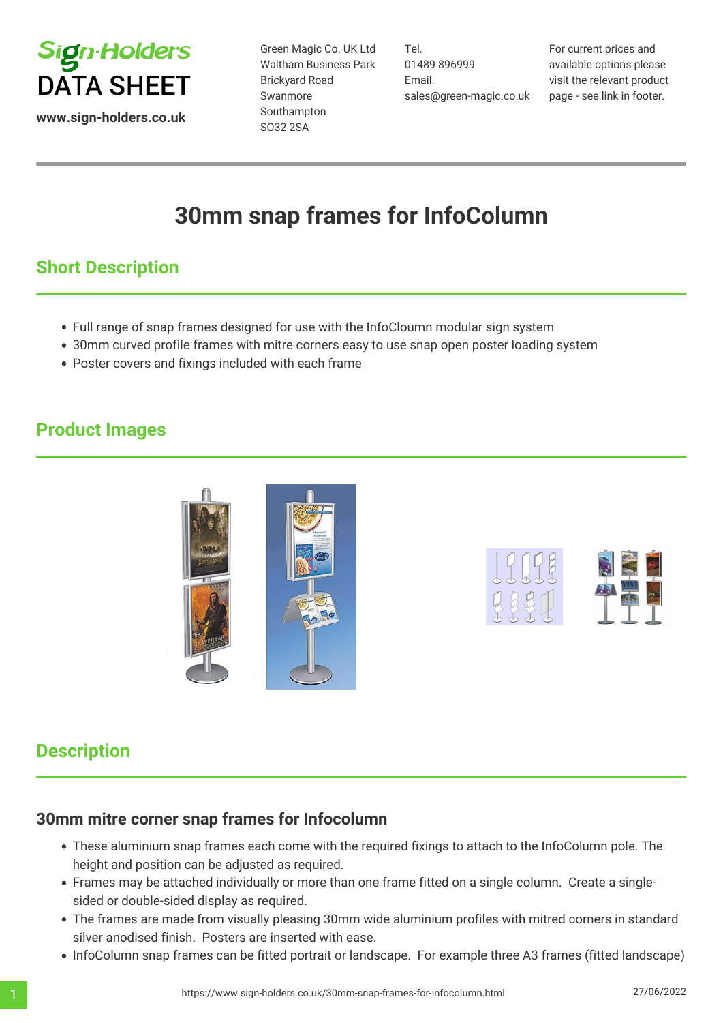

Green Magic Co. UK Ltd Waltham Business Park Brickyard Road Swanmore Southampton SO32 2SA

Tel. 01489 896999 Email. sales@green-magic.co.uk For current prices and available options please visit the relevant product page - see link in footer.

# **30mm snap frames for InfoColumn**

## **Short Description**

- Full range of snap frames designed for use with the InfoCloumn modular sign system
- 30mm curved profile frames with mitre corners easy to use snap open poster loading system
- Poster covers and fixings included with each frame

#### **Product Images**





### **Description**

#### **30mm mitre corner snap frames for Infocolumn**

- These aluminium snap frames each come with the required fixings to attach to the InfoColumn pole. The height and position can be adjusted as required.
- Frames may be attached individually or more than one frame fitted on a single column. Create a singlesided or double-sided display as required.
- The frames are made from visually pleasing 30mm wide aluminium profiles with mitred corners in standard silver anodised finish. Posters are inserted with ease.
- InfoColumn snap frames can be fitted portrait or landscape. For example three A3 frames (fitted landscape)